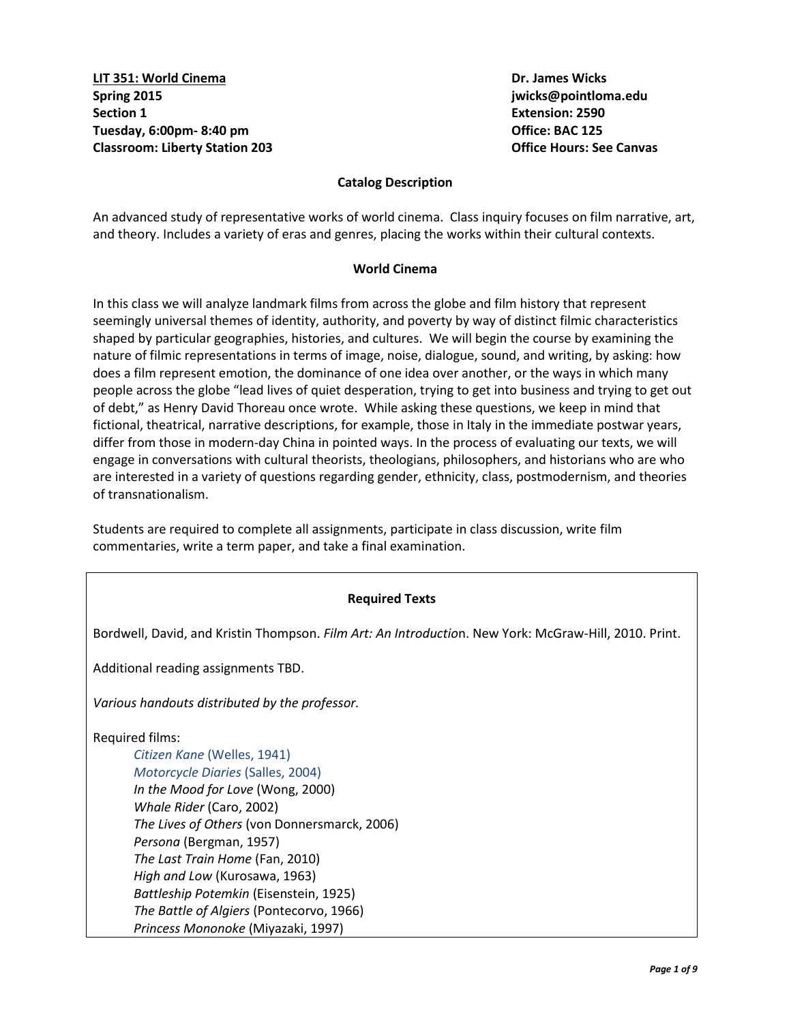## **Catalog Description**

An advanced study of representative works of world cinema. Class inquiry focuses on film narrative, art, and theory. Includes a variety of eras and genres, placing the works within their cultural contexts.

#### **World Cinema**

In this class we will analyze landmark films from across the globe and film history that represent seemingly universal themes of identity, authority, and poverty by way of distinct filmic characteristics shaped by particular geographies, histories, and cultures. We will begin the course by examining the nature of filmic representations in terms of image, noise, dialogue, sound, and writing, by asking: how does a film represent emotion, the dominance of one idea over another, or the ways in which many people across the globe "lead lives of quiet desperation, trying to get into business and trying to get out of debt," as Henry David Thoreau once wrote. While asking these questions, we keep in mind that fictional, theatrical, narrative descriptions, for example, those in Italy in the immediate postwar years, differ from those in modern-day China in pointed ways. In the process of evaluating our texts, we will engage in conversations with cultural theorists, theologians, philosophers, and historians who are who are interested in a variety of questions regarding gender, ethnicity, class, postmodernism, and theories of transnationalism.

Students are required to complete all assignments, participate in class discussion, write film commentaries, write a term paper, and take a final examination.

# **Required Texts**

Bordwell, David, and Kristin Thompson. *Film Art: An Introductio*n. New York: McGraw-Hill, 2010. Print.

Additional reading assignments TBD.

*Various handouts distributed by the professor.*

Required films:

*Citizen Kane* (Welles, 1941) *Motorcycle Diaries* (Salles, 2004) *In the Mood for Love* (Wong, 2000) *Whale Rider* (Caro, 2002) *The Lives of Others* (von Donnersmarck, 2006) *Persona* (Bergman, 1957) *The Last Train Home* (Fan, 2010) *High and Low* (Kurosawa, 1963) *Battleship Potemkin* (Eisenstein, 1925) *The Battle of Algiers* (Pontecorvo, 1966) *Princess Mononoke* (Miyazaki, 1997)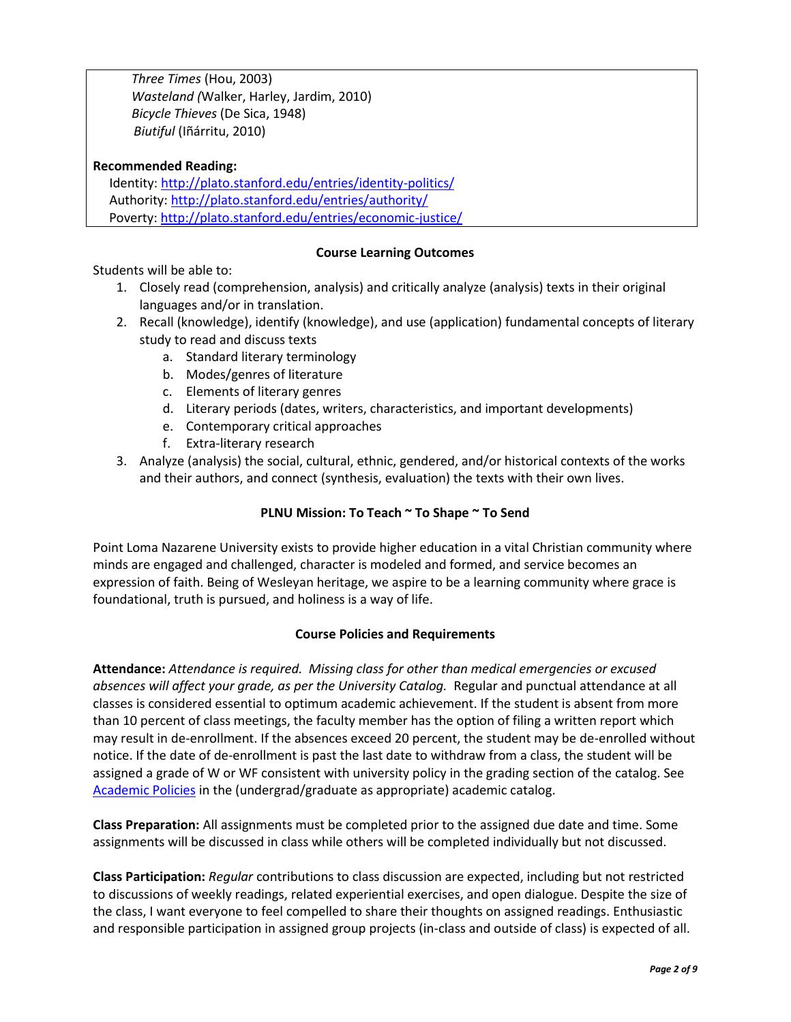*Three Times* (Hou, 2003)  *Wasteland (*Walker, Harley, Jardim, 2010)  *Bicycle Thieves* (De Sica, 1948) *Biutiful* (Iñárritu, 2010)

## **Recommended Reading:**

 Identity[: http://plato.stanford.edu/entries/identity-politics/](http://plato.stanford.edu/entries/identity-politics/) Authority:<http://plato.stanford.edu/entries/authority/> Poverty:<http://plato.stanford.edu/entries/economic-justice/>

## **Course Learning Outcomes**

## Students will be able to:

- 1. Closely read (comprehension, analysis) and critically analyze (analysis) texts in their original languages and/or in translation.
- 2. Recall (knowledge), identify (knowledge), and use (application) fundamental concepts of literary study to read and discuss texts
	- a. Standard literary terminology
	- b. Modes/genres of literature
	- c. Elements of literary genres
	- d. Literary periods (dates, writers, characteristics, and important developments)
	- e. Contemporary critical approaches
	- f. Extra-literary research
- 3. Analyze (analysis) the social, cultural, ethnic, gendered, and/or historical contexts of the works and their authors, and connect (synthesis, evaluation) the texts with their own lives.

# **PLNU Mission: To Teach ~ To Shape ~ To Send**

Point Loma Nazarene University exists to provide higher education in a vital Christian community where minds are engaged and challenged, character is modeled and formed, and service becomes an expression of faith. Being of Wesleyan heritage, we aspire to be a learning community where grace is foundational, truth is pursued, and holiness is a way of life.

# **Course Policies and Requirements**

**Attendance:** *Attendance is required. Missing class for other than medical emergencies or excused absences will affect your grade, as per the University Catalog.* Regular and punctual attendance at all classes is considered essential to optimum academic achievement. If the student is absent from more than 10 percent of class meetings, the faculty member has the option of filing a written report which may result in de-enrollment. If the absences exceed 20 percent, the student may be de-enrolled without notice. If the date of de-enrollment is past the last date to withdraw from a class, the student will be assigned a grade of W or WF consistent with university policy in the grading section of the catalog. Se[e](http://catalog.pointloma.edu/content.php?catoid=18&navoid=1278) [Academic Policies](http://catalog.pointloma.edu/content.php?catoid=18&navoid=1278) in the (undergrad/graduate as appropriate) academic catalog.

**Class Preparation:** All assignments must be completed prior to the assigned due date and time. Some assignments will be discussed in class while others will be completed individually but not discussed.

**Class Participation:** *Regular* contributions to class discussion are expected, including but not restricted to discussions of weekly readings, related experiential exercises, and open dialogue. Despite the size of the class, I want everyone to feel compelled to share their thoughts on assigned readings. Enthusiastic and responsible participation in assigned group projects (in-class and outside of class) is expected of all.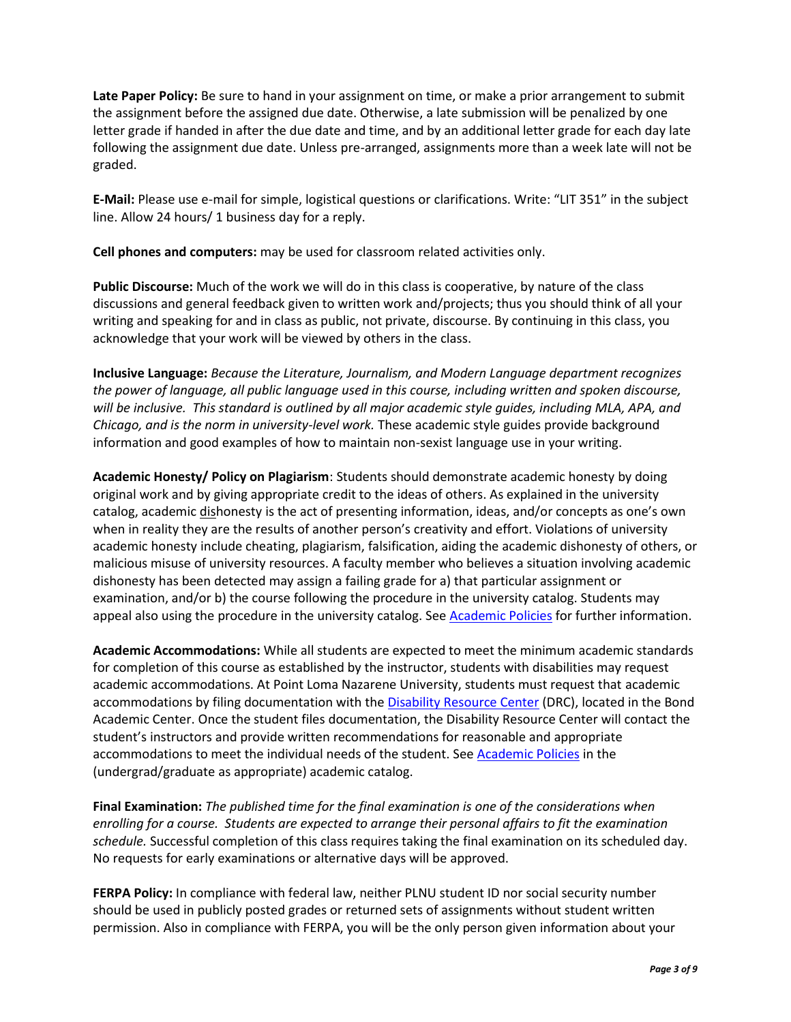**Late Paper Policy:** Be sure to hand in your assignment on time, or make a prior arrangement to submit the assignment before the assigned due date. Otherwise, a late submission will be penalized by one letter grade if handed in after the due date and time, and by an additional letter grade for each day late following the assignment due date. Unless pre-arranged, assignments more than a week late will not be graded.

**E-Mail:** Please use e-mail for simple, logistical questions or clarifications. Write: "LIT 351" in the subject line. Allow 24 hours/ 1 business day for a reply.

**Cell phones and computers:** may be used for classroom related activities only.

**Public Discourse:** Much of the work we will do in this class is cooperative, by nature of the class discussions and general feedback given to written work and/projects; thus you should think of all your writing and speaking for and in class as public, not private, discourse. By continuing in this class, you acknowledge that your work will be viewed by others in the class.

**Inclusive Language:** *Because the Literature, Journalism, and Modern Language department recognizes the power of language, all public language used in this course, including written and spoken discourse, will be inclusive. This standard is outlined by all major academic style guides, including MLA, APA, and Chicago, and is the norm in university-level work.* These academic style guides provide background information and good examples of how to maintain non-sexist language use in your writing.

**Academic Honesty/ Policy on Plagiarism**: Students should demonstrate academic honesty by doing original work and by giving appropriate credit to the ideas of others. As explained in the university catalog, academic dishonesty is the act of presenting information, ideas, and/or concepts as one's own when in reality they are the results of another person's creativity and effort. Violations of university academic honesty include cheating, plagiarism, falsification, aiding the academic dishonesty of others, or malicious misuse of university resources. A faculty member who believes a situation involving academic dishonesty has been detected may assign a failing grade for a) that particular assignment or examination, and/or b) the course following the procedure in the university catalog. Students may appeal also using the procedure in the university catalog. See [Academic Policies](http://www.pointloma.edu/experience/academics/catalogs/undergraduate-catalog/point-loma-education/academic-policies) for further information.

**Academic Accommodations:** While all students are expected to meet the minimum academic standards for completion of this course as established by the instructor, students with disabilities may request academic accommodations. At Point Loma Nazarene University, students must request that academic accommodations by filing documentation with the [Disability Resource Center](http://www.pointloma.edu/experience/offices/administrative-offices/academic-advising-office/disability-resource-center) (DRC), located in the Bond Academic Center. Once the student files documentation, the Disability Resource Center will contact the student's instructors and provide written recommendations for reasonable and appropriate accommodations to meet the individual needs of the student. See [Academic Policies](http://www.pointloma.edu/experience/academics/catalogs/undergraduate-catalog/point-loma-education/academic-policies) in the (undergrad/graduate as appropriate) academic catalog.

**Final Examination:** *The published time for the final examination is one of the considerations when enrolling for a course. Students are expected to arrange their personal affairs to fit the examination schedule.* Successful completion of this class requires taking the final examination on its scheduled day. No requests for early examinations or alternative days will be approved.

**FERPA Policy:** In compliance with federal law, neither PLNU student ID nor social security number should be used in publicly posted grades or returned sets of assignments without student written permission. Also in compliance with FERPA, you will be the only person given information about your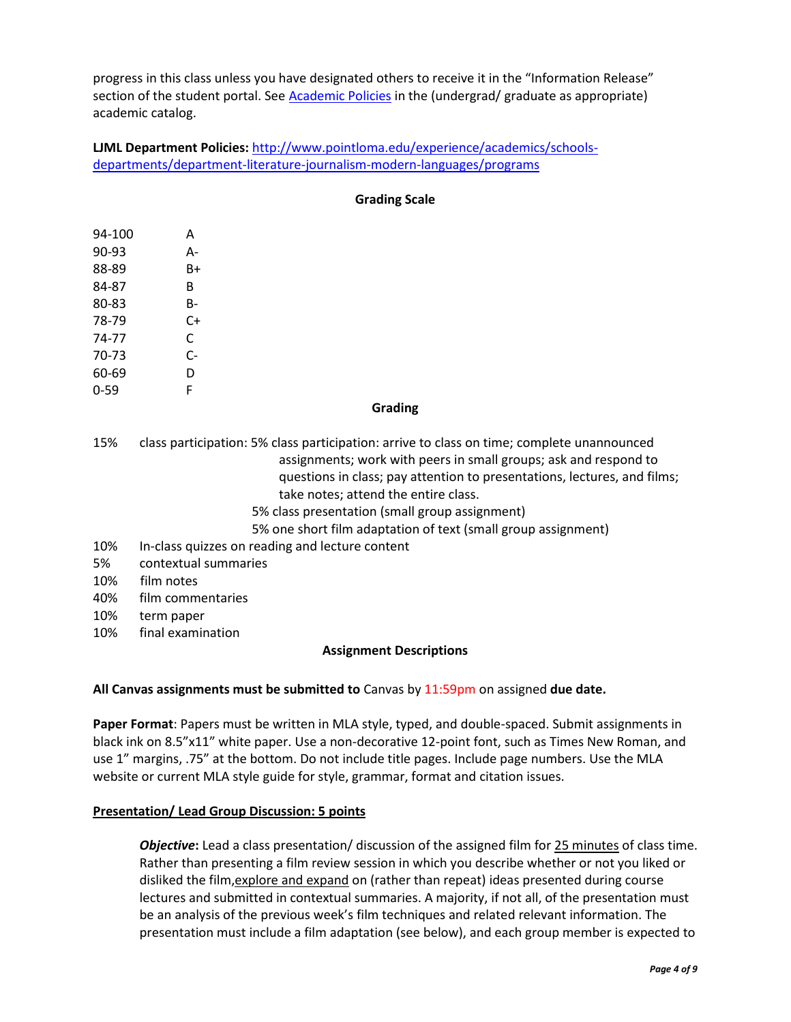progress in this class unless you have designated others to receive it in the "Information Release" section of the student portal. See [Academic Policies](http://catalog.pointloma.edu/index.php) in the (undergrad/ graduate as appropriate) academic catalog.

**LJML Department Policies:** [http://www.pointloma.edu/experience/academics/schools](http://www.pointloma.edu/experience/academics/schools-departments/department-literature-journalism-modern-languages/programs)[departments/department-literature-journalism-modern-languages/programs](http://www.pointloma.edu/experience/academics/schools-departments/department-literature-journalism-modern-languages/programs)

# **Grading Scale**

| 94-100 | А  |
|--------|----|
| 90-93  | А- |
| 88-89  | B+ |
| 84-87  | R  |
| 80-83  | B- |
| 78-79  | C+ |
| 74-77  | C  |
| 70-73  | C- |
| 60-69  | D  |
| 0-59   | F  |

## **Grading**

15% class participation: 5% class participation: arrive to class on time; complete unannounced assignments; work with peers in small groups; ask and respond to questions in class; pay attention to presentations, lectures, and films; take notes; attend the entire class.

5% class presentation (small group assignment)

5% one short film adaptation of text (small group assignment)

- 10% In-class quizzes on reading and lecture content
- 5% contextual summaries
- 10% film notes
- 40% film commentaries
- 10% term paper
- 10% final examination

#### **Assignment Descriptions**

## **All Canvas assignments must be submitted to** Canvas by 11:59pm on assigned **due date.**

**Paper Format**: Papers must be written in MLA style, typed, and double-spaced. Submit assignments in black ink on 8.5"x11" white paper. Use a non-decorative 12-point font, such as Times New Roman, and use 1" margins, .75" at the bottom. Do not include title pages. Include page numbers. Use the MLA website or current MLA style guide for style, grammar, format and citation issues.

#### **Presentation/ Lead Group Discussion: 5 points**

*Objective***:** Lead a class presentation/ discussion of the assigned film for 25 minutes of class time. Rather than presenting a film review session in which you describe whether or not you liked or disliked the film,explore and expand on (rather than repeat) ideas presented during course lectures and submitted in contextual summaries. A majority, if not all, of the presentation must be an analysis of the previous week's film techniques and related relevant information. The presentation must include a film adaptation (see below), and each group member is expected to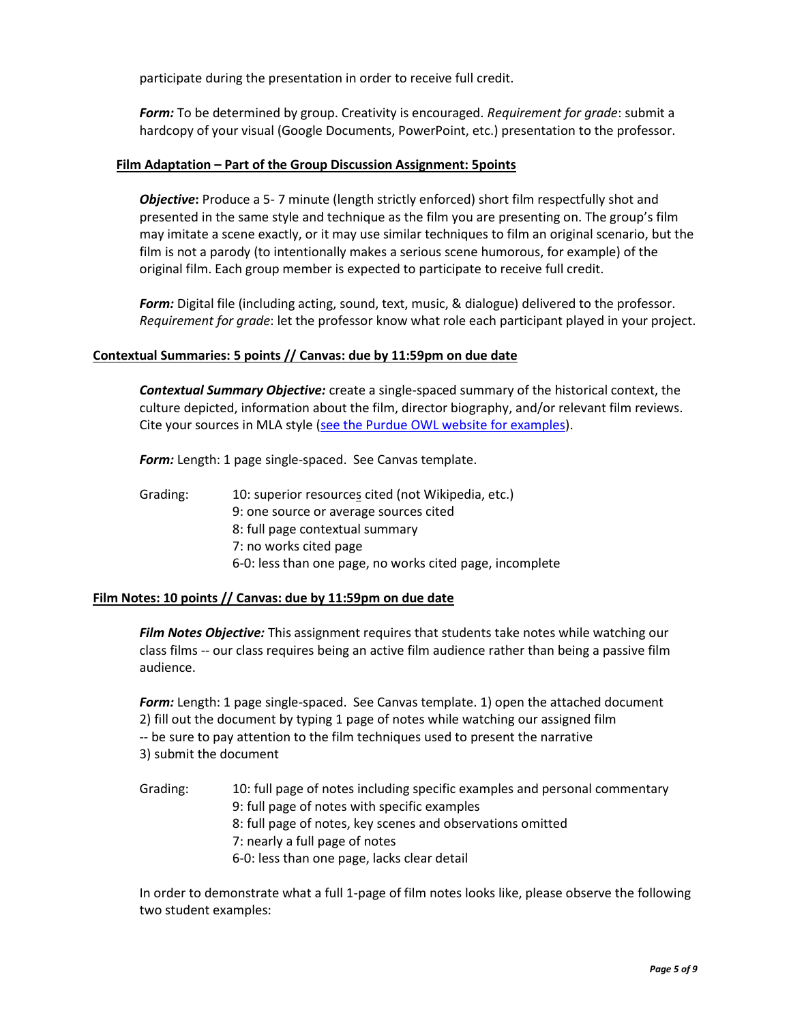participate during the presentation in order to receive full credit.

*Form:* To be determined by group. Creativity is encouraged. *Requirement for grade*: submit a hardcopy of your visual (Google Documents, PowerPoint, etc.) presentation to the professor.

#### **Film Adaptation – Part of the Group Discussion Assignment: 5points**

*Objective***:** Produce a 5- 7 minute (length strictly enforced) short film respectfully shot and presented in the same style and technique as the film you are presenting on. The group's film may imitate a scene exactly, or it may use similar techniques to film an original scenario, but the film is not a parody (to intentionally makes a serious scene humorous, for example) of the original film. Each group member is expected to participate to receive full credit.

*Form:* Digital file (including acting, sound, text, music, & dialogue) delivered to the professor. *Requirement for grade*: let the professor know what role each participant played in your project.

#### **Contextual Summaries: 5 points // Canvas: due by 11:59pm on due date**

*Contextual Summary Objective:* create a single-spaced summary of the historical context, the culture depicted, information about the film, director biography, and/or relevant film reviews. Cite your sources in MLA style [\(see the Purdue OWL website for examples\)](https://owl.english.purdue.edu/owl/resource/747/08/).

Form: Length: 1 page single-spaced. See Canvas template.

Grading: 10: superior resources cited (not Wikipedia, etc.) 9: one source or average sources cited 8: full page contextual summary 7: no works cited page 6-0: less than one page, no works cited page, incomplete

#### **Film Notes: 10 points // Canvas: due by 11:59pm on due date**

*Film Notes Objective:* This assignment requires that students take notes while watching our class films -- our class requires being an active film audience rather than being a passive film audience.

Form: Length: 1 page single-spaced. See Canvas template. 1) open the attached document 2) fill out the document by typing 1 page of notes while watching our assigned film -- be sure to pay attention to the film techniques used to present the narrative 3) submit the document

Grading: 10: full page of notes including specific examples and personal commentary 9: full page of notes with specific examples 8: full page of notes, key scenes and observations omitted 7: nearly a full page of notes 6-0: less than one page, lacks clear detail

In order to demonstrate what a full 1-page of film notes looks like, please observe the following two student examples: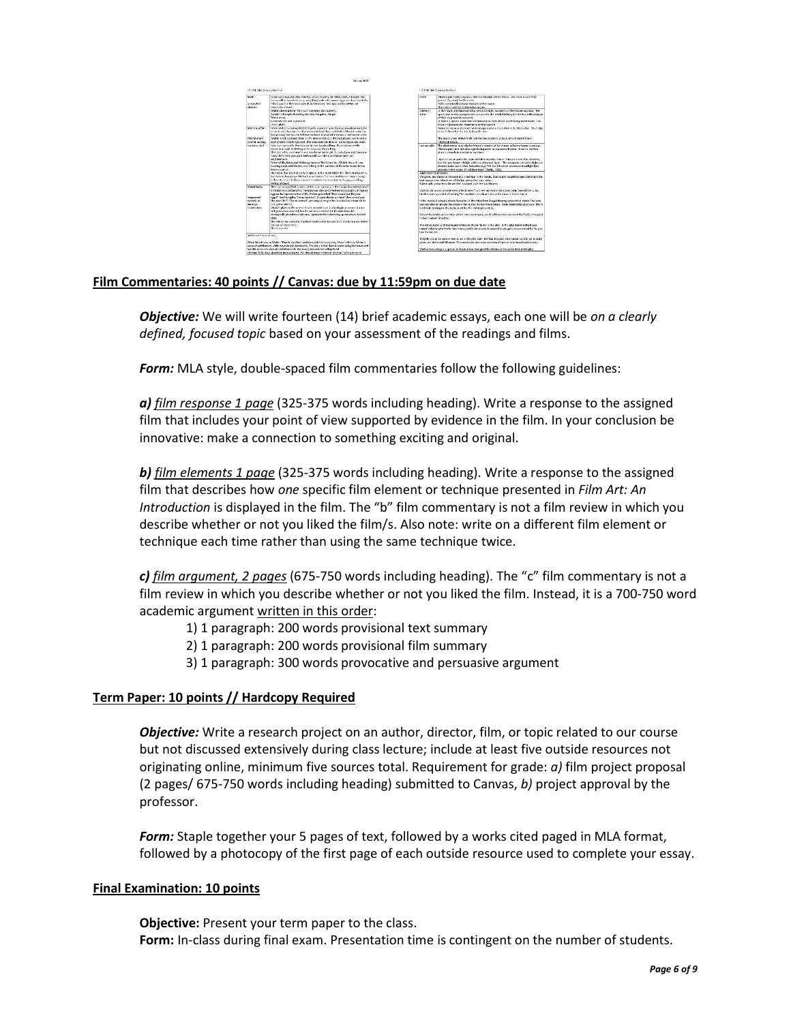

# **Film Commentaries: 40 points // Canvas: due by 11:59pm on due date**

*Objective:* We will write fourteen (14) brief academic essays, each one will be *on a clearly defined, focused topic* based on your assessment of the readings and films.

**Form:** MLA style, double-spaced film commentaries follow the following guidelines:

*a) film response 1 page* (325-375 words including heading). Write a response to the assigned film that includes your point of view supported by evidence in the film. In your conclusion be innovative: make a connection to something exciting and original.

*b) film elements 1 page* (325-375 words including heading). Write a response to the assigned film that describes how *one* specific film element or technique presented in *Film Art: An Introduction* is displayed in the film. The "b" film commentary is not a film review in which you describe whether or not you liked the film/s. Also note: write on a different film element or technique each time rather than using the same technique twice.

*c) film argument, 2 pages* (675-750 words including heading). The "c" film commentary is not a film review in which you describe whether or not you liked the film. Instead, it is a 700-750 word academic argument written in this order:

- 1) 1 paragraph: 200 words provisional text summary
- 2) 1 paragraph: 200 words provisional film summary
- 3) 1 paragraph: 300 words provocative and persuasive argument

# **Term Paper: 10 points // Hardcopy Required**

*Objective:* Write a research project on an author, director, film, or topic related to our course but not discussed extensively during class lecture; include at least five outside resources not originating online, minimum five sources total. Requirement for grade: *a)* film project proposal (2 pages/ 675-750 words including heading) submitted to Canvas, *b)* project approval by the professor.

*Form:* Staple together your 5 pages of text, followed by a works cited paged in MLA format, followed by a photocopy of the first page of each outside resource used to complete your essay.

#### **Final Examination: 10 points**

**Objective:** Present your term paper to the class. **Form:** In-class during final exam. Presentation time is contingent on the number of students.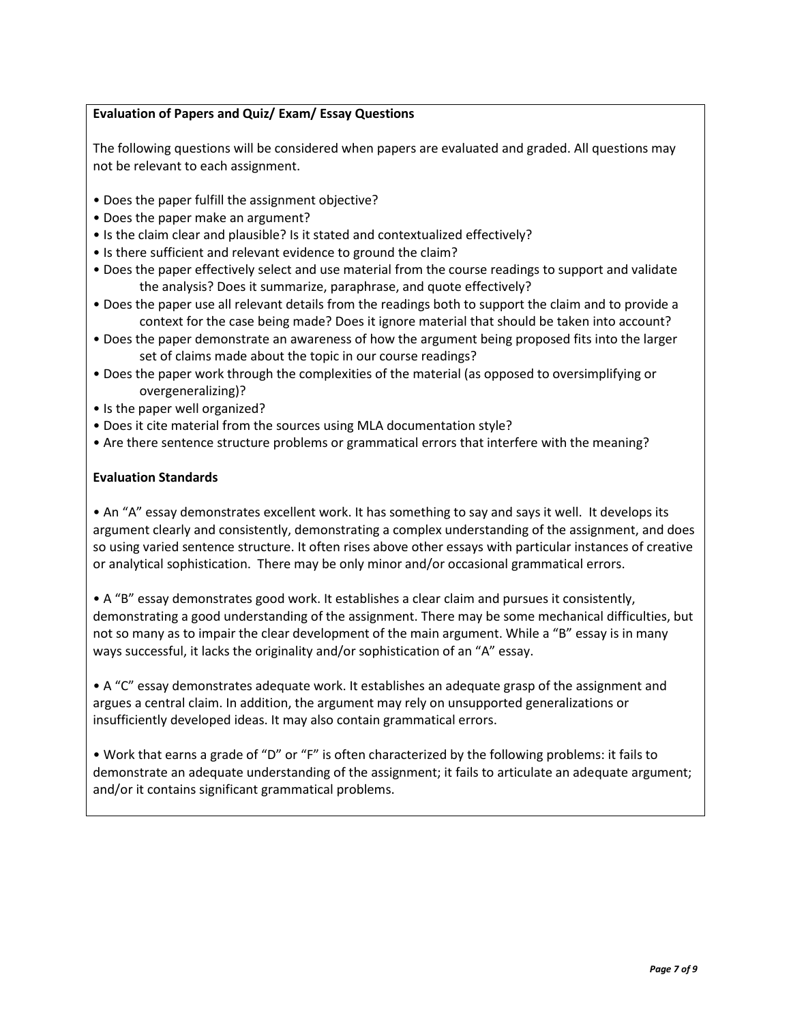# **Evaluation of Papers and Quiz/ Exam/ Essay Questions**

The following questions will be considered when papers are evaluated and graded. All questions may not be relevant to each assignment.

- Does the paper fulfill the assignment objective?
- Does the paper make an argument?
- Is the claim clear and plausible? Is it stated and contextualized effectively?
- Is there sufficient and relevant evidence to ground the claim?
- Does the paper effectively select and use material from the course readings to support and validate the analysis? Does it summarize, paraphrase, and quote effectively?
- Does the paper use all relevant details from the readings both to support the claim and to provide a context for the case being made? Does it ignore material that should be taken into account?
- Does the paper demonstrate an awareness of how the argument being proposed fits into the larger set of claims made about the topic in our course readings?
- Does the paper work through the complexities of the material (as opposed to oversimplifying or overgeneralizing)?
- Is the paper well organized?
- Does it cite material from the sources using MLA documentation style?
- Are there sentence structure problems or grammatical errors that interfere with the meaning?

#### **Evaluation Standards**

• An "A" essay demonstrates excellent work. It has something to say and says it well. It develops its argument clearly and consistently, demonstrating a complex understanding of the assignment, and does so using varied sentence structure. It often rises above other essays with particular instances of creative or analytical sophistication. There may be only minor and/or occasional grammatical errors.

• A "B" essay demonstrates good work. It establishes a clear claim and pursues it consistently, demonstrating a good understanding of the assignment. There may be some mechanical difficulties, but not so many as to impair the clear development of the main argument. While a "B" essay is in many ways successful, it lacks the originality and/or sophistication of an "A" essay.

• A "C" essay demonstrates adequate work. It establishes an adequate grasp of the assignment and argues a central claim. In addition, the argument may rely on unsupported generalizations or insufficiently developed ideas. It may also contain grammatical errors.

• Work that earns a grade of "D" or "F" is often characterized by the following problems: it fails to demonstrate an adequate understanding of the assignment; it fails to articulate an adequate argument; and/or it contains significant grammatical problems.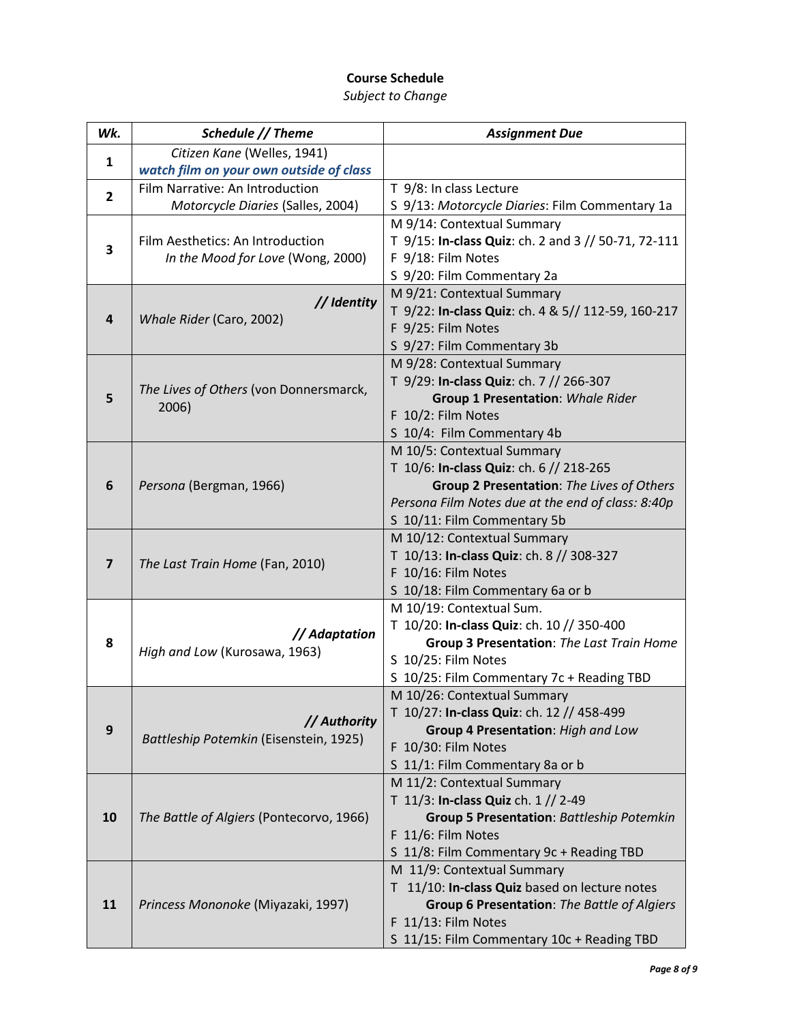# **Course Schedule**

| Wk.            | Schedule // Theme                                                                                                | <b>Assignment Due</b>                                                  |
|----------------|------------------------------------------------------------------------------------------------------------------|------------------------------------------------------------------------|
| 1              | Citizen Kane (Welles, 1941)                                                                                      |                                                                        |
|                | watch film on your own outside of class                                                                          |                                                                        |
| $\overline{2}$ | Film Narrative: An Introduction                                                                                  | T 9/8: In class Lecture                                                |
|                | Motorcycle Diaries (Salles, 2004)                                                                                | S 9/13: Motorcycle Diaries: Film Commentary 1a                         |
| 3<br>4         | Film Aesthetics: An Introduction<br>In the Mood for Love (Wong, 2000)<br>// Identity<br>Whale Rider (Caro, 2002) | M 9/14: Contextual Summary                                             |
|                |                                                                                                                  | T 9/15: In-class Quiz: ch. 2 and 3 // 50-71, 72-111                    |
|                |                                                                                                                  | F 9/18: Film Notes                                                     |
|                |                                                                                                                  | S 9/20: Film Commentary 2a<br>M 9/21: Contextual Summary               |
|                |                                                                                                                  | T 9/22: In-class Quiz: ch. 4 & 5// 112-59, 160-217                     |
|                |                                                                                                                  | F 9/25: Film Notes                                                     |
|                |                                                                                                                  | S 9/27: Film Commentary 3b                                             |
|                | The Lives of Others (von Donnersmarck,<br>2006)                                                                  | M 9/28: Contextual Summary                                             |
|                |                                                                                                                  | T 9/29: In-class Quiz: ch. 7 // 266-307                                |
| 5              |                                                                                                                  | <b>Group 1 Presentation: Whale Rider</b>                               |
|                |                                                                                                                  | F 10/2: Film Notes                                                     |
|                |                                                                                                                  | S 10/4: Film Commentary 4b                                             |
|                | Persona (Bergman, 1966)                                                                                          | M 10/5: Contextual Summary                                             |
|                |                                                                                                                  | T 10/6: In-class Quiz: ch. 6 // 218-265                                |
| 6              |                                                                                                                  | Group 2 Presentation: The Lives of Others                              |
|                |                                                                                                                  | Persona Film Notes due at the end of class: 8:40p                      |
|                |                                                                                                                  | S 10/11: Film Commentary 5b                                            |
|                | The Last Train Home (Fan, 2010)                                                                                  | M 10/12: Contextual Summary                                            |
| $\overline{7}$ |                                                                                                                  | T 10/13: In-class Quiz: ch. 8 // 308-327                               |
|                |                                                                                                                  | F 10/16: Film Notes<br>S 10/18: Film Commentary 6a or b                |
|                |                                                                                                                  | M 10/19: Contextual Sum.                                               |
|                | // Adaptation<br>High and Low (Kurosawa, 1963)                                                                   | T 10/20: In-class Quiz: ch. 10 // 350-400                              |
| 8              |                                                                                                                  | Group 3 Presentation: The Last Train Home                              |
|                |                                                                                                                  | S 10/25: Film Notes                                                    |
|                |                                                                                                                  | S 10/25: Film Commentary 7c + Reading TBD                              |
| 9              |                                                                                                                  | M 10/26: Contextual Summary                                            |
|                | // Authority<br>Battleship Potemkin (Eisenstein, 1925)                                                           | T 10/27: In-class Quiz: ch. 12 // 458-499                              |
|                |                                                                                                                  | Group 4 Presentation: High and Low                                     |
|                |                                                                                                                  | F 10/30: Film Notes                                                    |
|                |                                                                                                                  | S 11/1: Film Commentary 8a or b                                        |
|                | The Battle of Algiers (Pontecorvo, 1966)                                                                         | M 11/2: Contextual Summary                                             |
|                |                                                                                                                  | T 11/3: In-class Quiz ch. 1 // 2-49                                    |
| 10             |                                                                                                                  | <b>Group 5 Presentation: Battleship Potemkin</b><br>F 11/6: Film Notes |
|                |                                                                                                                  | S 11/8: Film Commentary 9c + Reading TBD                               |
|                |                                                                                                                  | M 11/9: Contextual Summary                                             |
|                |                                                                                                                  | T 11/10: In-class Quiz based on lecture notes                          |
| 11             | Princess Mononoke (Miyazaki, 1997)                                                                               | Group 6 Presentation: The Battle of Algiers                            |
|                |                                                                                                                  | F 11/13: Film Notes                                                    |
|                |                                                                                                                  | S 11/15: Film Commentary 10c + Reading TBD                             |